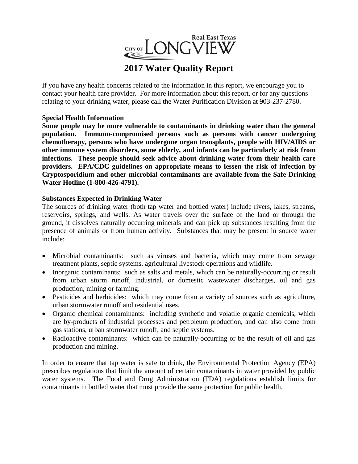

# **2017 Water Quality Report**

If you have any health concerns related to the information in this report, we encourage you to contact your health care provider. For more information about this report, or for any questions relating to your drinking water, please call the Water Purification Division at 903-237-2780.

# **Special Health Information**

**Some people may be more vulnerable to contaminants in drinking water than the general population. Immuno-compromised persons such as persons with cancer undergoing chemotherapy, persons who have undergone organ transplants, people with HIV/AIDS or other immune system disorders, some elderly, and infants can be particularly at risk from infections. These people should seek advice about drinking water from their health care providers. EPA/CDC guidelines on appropriate means to lessen the risk of infection by Cryptosporidium and other microbial contaminants are available from the Safe Drinking Water Hotline (1-800-426-4791).**

## **Substances Expected in Drinking Water**

The sources of drinking water (both tap water and bottled water) include rivers, lakes, streams, reservoirs, springs, and wells. As water travels over the surface of the land or through the ground, it dissolves naturally occurring minerals and can pick up substances resulting from the presence of animals or from human activity. Substances that may be present in source water include:

- Microbial contaminants: such as viruses and bacteria, which may come from sewage treatment plants, septic systems, agricultural livestock operations and wildlife.
- Inorganic contaminants: such as salts and metals, which can be naturally-occurring or result from urban storm runoff, industrial, or domestic wastewater discharges, oil and gas production, mining or farming.
- Pesticides and herbicides: which may come from a variety of sources such as agriculture, urban stormwater runoff and residential uses.
- Organic chemical contaminants: including synthetic and volatile organic chemicals, which are by-products of industrial processes and petroleum production, and can also come from gas stations, urban stormwater runoff, and septic systems.
- Radioactive contaminants: which can be naturally-occurring or be the result of oil and gas production and mining.

In order to ensure that tap water is safe to drink, the Environmental Protection Agency (EPA) prescribes regulations that limit the amount of certain contaminants in water provided by public water systems. The Food and Drug Administration (FDA) regulations establish limits for contaminants in bottled water that must provide the same protection for public health.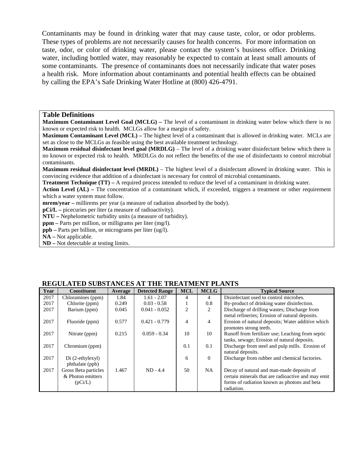Contaminants may be found in drinking water that may cause taste, color, or odor problems. These types of problems are not necessarily causes for health concerns. For more information on taste, odor, or color of drinking water, please contact the system's business office. Drinking water, including bottled water, may reasonably be expected to contain at least small amounts of some contaminants. The presence of contaminants does not necessarily indicate that water poses a health risk. More information about contaminants and potential health effects can be obtained by calling the EPA's Safe Drinking Water Hotline at (800) 426-4791.

#### **Table Definitions**

**Maximum Contaminant Level Goal (MCLG) –** The level of a contaminant in drinking water below which there is no known or expected risk to health. MCLGs allow for a margin of safety.

**Maximum Contaminant Level (MCL) –** The highest level of a contaminant that is allowed in drinking water. MCLs are set as close to the MCLGs as feasible using the best available treatment technology.

**Maximum residual disinfectant level goal (MRDLG)** – The level of a drinking water disinfectant below which there is no known or expected risk to health. MRDLGs do not reflect the benefits of the use of disinfectants to control microbial contaminants.

**Maximum residual disinfectant level (MRDL)** – The highest level of a disinfectant allowed in drinking water. This is convincing evidence that addition of a disinfectant is necessary for control of microbial contaminants.

**Treatment Technique (TT)** – A required process intended to reduce the level of a contaminant in drinking water.

**Action Level (AL) –** The concentration of a contaminant which, if exceeded, triggers a treatment or other requirement which a water system must follow.

**mrem/year –** millirems per year (a measure of radiation absorbed by the body).

**pCi/L –** picecuries per liter (a measure of radioactivity).

**NTU –** Nephelometric turbidity units (a measure of turbidity).

**ppm –** Parts per million, or milligrams per liter (mg/l).

**ppb –** Parts per billion, or micrograms per liter (ug/l).

**NA –** Not applicable.

**ND –** Not detectable at testing limits.

| Year | <b>Constituent</b>   | Average | <b>Detected Range</b> | <b>MCL</b>     | <b>MCLG</b>    | <b>Typical Source</b>                              |
|------|----------------------|---------|-----------------------|----------------|----------------|----------------------------------------------------|
| 2017 | Chloramines (ppm)    | 1.84    | $1.61 - 2.07$         | 4              | 4              | Disinfectant used to control microbes.             |
| 2017 | Chlorite (ppm)       | 0.249   | $0.03 - 0.58$         |                | 0.8            | By-product of drinking water disinfection.         |
| 2017 | Barium (ppm)         | 0.045   | $0.041 - 0.052$       | $\mathfrak{D}$ | 2              | Discharge of drilling wastes; Discharge from       |
|      |                      |         |                       |                |                | metal refineries; Erosion of natural deposits.     |
| 2017 | Fluoride (ppm)       | 0.577   | $0.421 - 0.779$       | 4              | $\overline{4}$ | Erosion of natural deposits; Water additive which  |
|      |                      |         |                       |                |                | promotes strong teeth.                             |
| 2017 | Nitrate (ppm)        | 0.215   | $0.059 - 0.34$        | 10             | 10             | Runoff from fertilizer use; Leaching from septic   |
|      |                      |         |                       |                |                | tanks, sewage; Erosion of natural deposits.        |
| 2017 | Chromium (ppm)       |         |                       | 0.1            | 0.1            | Discharge from steel and pulp mills. Erosion of    |
|      |                      |         |                       |                |                | natural deposits.                                  |
| 2017 | $Di (2-ethylexyl)$   |         |                       | 6              | $\Omega$       | Discharge from rubber and chemical factories.      |
|      | phthalate (ppb)      |         |                       |                |                |                                                    |
| 2017 | Gross Beta particles | 1.467   | $ND - 4.4$            | 50             | <b>NA</b>      | Decay of natural and man-made deposits of          |
|      | & Photon emitters    |         |                       |                |                | certain minerals that are radioactive and may emit |
|      | (pCi/L)              |         |                       |                |                | forms of radiation known as photons and beta       |
|      |                      |         |                       |                |                | radiation.                                         |

#### **REGULATED SUBSTANCES AT THE TREATMENT PLANTS**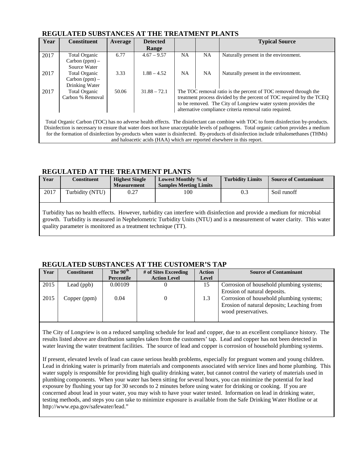| Year | <b>Constituent</b>   | Average | <b>Detected</b> |                                                                      |           | <b>Typical Source</b>                                                                                                                 |  |  |
|------|----------------------|---------|-----------------|----------------------------------------------------------------------|-----------|---------------------------------------------------------------------------------------------------------------------------------------|--|--|
|      |                      |         | Range           |                                                                      |           |                                                                                                                                       |  |  |
| 2017 | Total Organic        | 6.77    | $4.67 - 9.57$   | <b>NA</b>                                                            | <b>NA</b> | Naturally present in the environment.                                                                                                 |  |  |
|      | Carbon $(ppm)$ –     |         |                 |                                                                      |           |                                                                                                                                       |  |  |
|      | Source Water         |         |                 |                                                                      |           |                                                                                                                                       |  |  |
| 2017 | <b>Total Organic</b> | 3.33    | $1.88 - 4.52$   | <b>NA</b>                                                            | <b>NA</b> | Naturally present in the environment.                                                                                                 |  |  |
|      | Carbon (ppm) –       |         |                 |                                                                      |           |                                                                                                                                       |  |  |
|      | Drinking Water       |         |                 |                                                                      |           |                                                                                                                                       |  |  |
| 2017 | <b>Total Organic</b> | 50.06   | $31.88 - 72.1$  | The TOC removal ratio is the percent of TOC removed through the      |           |                                                                                                                                       |  |  |
|      | Carbon % Removal     |         |                 | treatment process divided by the percent of TOC required by the TCEO |           |                                                                                                                                       |  |  |
|      |                      |         |                 | to be removed. The City of Longview water system provides the        |           |                                                                                                                                       |  |  |
|      |                      |         |                 | alternative compliance criteria removal ratio required.              |           |                                                                                                                                       |  |  |
|      |                      |         |                 |                                                                      |           |                                                                                                                                       |  |  |
|      |                      |         |                 |                                                                      |           | Total Organic Carbon (TOC) has no adverse health effects. The disinfectant can combine with TOC to form disinfection by-products.     |  |  |
|      |                      |         |                 |                                                                      |           | Disinfection is necessary to ensure that water does not have unacceptable levels of pathogens. Total organic carbon provides a medium |  |  |
|      |                      |         |                 |                                                                      |           | for the formation of disinfection by-products when water is disinfected. By-products of disinfection include trihalomethanes (THMs)   |  |  |

and haloacetic acids (HAA) which are reported elsewhere in this report.

## **REGULATED AT THE TREATMENT PLANTS**

| Year | <b>Constituent</b> | <b>Highest Single</b><br><b>Measurement</b> | Lowest Monthly % of<br><b>Samples Meeting Limits</b>                                                                                                                                                                                            | <b>Turbidity Limits</b> | <b>Source of Contaminant</b> |
|------|--------------------|---------------------------------------------|-------------------------------------------------------------------------------------------------------------------------------------------------------------------------------------------------------------------------------------------------|-------------------------|------------------------------|
| 2017 | Turbidity (NTU)    | 0.27                                        | 100                                                                                                                                                                                                                                             | 0.3                     | Soil runoff                  |
|      |                    |                                             | Turbidity has no health effects. However, turbidity can interfere with disinfection and provide a medium for microbial<br>growth Turbidity is measured in Nephelometric Turbidity Units (NTH) and is a measurement of water clarity. This water |                         |                              |

growth. Turbidity is measured in Nephelometric Turbidity Units (NTU) and is a measurement quality parameter is monitored as a treatment technique (TT).

## **REGULATED SUBSTANCES AT THE CUSTOMER'S TAP**

| Year | <b>Constituent</b> | The 90 <sup>th</sup> | # of Sites Exceeding | <b>Action</b> | <b>Source of Contaminant</b>                                                                                  |
|------|--------------------|----------------------|----------------------|---------------|---------------------------------------------------------------------------------------------------------------|
|      |                    | Percentile           | <b>Action Level</b>  | Level         |                                                                                                               |
| 2015 | Lead (ppb)         | 0.00109              |                      | 15            | Corrosion of household plumbing systems;<br>Erosion of natural deposits.                                      |
| 2015 | Copper (ppm)       | 0.04                 |                      | 1.3           | Corrosion of household plumbing systems;<br>Erosion of natural deposits; Leaching from<br>wood preservatives. |

The City of Longview is on a reduced sampling schedule for lead and copper, due to an excellent compliance history. The results listed above are distribution samples taken from the customers' tap. Lead and copper has not been detected in water leaving the water treatment facilities. The source of lead and copper is corrosion of household plumbing systems.

If present, elevated levels of lead can cause serious health problems, especially for pregnant women and young children. Lead in drinking water is primarily from materials and components associated with service lines and home plumbing. This water supply is responsible for providing high quality drinking water, but cannot control the variety of materials used in plumbing components. When your water has been sitting for several hours, you can minimize the potential for lead exposure by flushing your tap for 30 seconds to 2 minutes before using water for drinking or cooking. If you are concerned about lead in your water, you may wish to have your water tested. Information on lead in drinking water, testing methods, and steps you can take to minimize exposure is available from the Safe Drinking Water Hotline or at http://www.epa.gov/safewater/lead."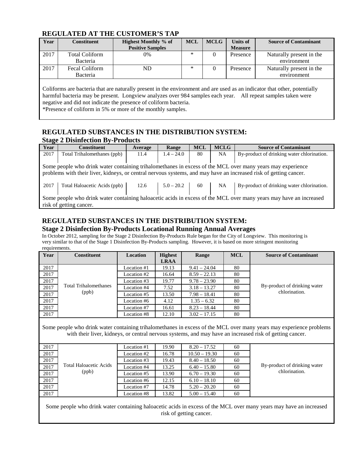## **REGULATED AT THE CUSTOMER'S TAP**

| <b>Year</b> | Constituent           | <b>Highest Monthly % of</b> | <b>MCL</b> | <b>MCLG</b> | Units of       | <b>Source of Contaminant</b> |
|-------------|-----------------------|-----------------------------|------------|-------------|----------------|------------------------------|
|             |                       | <b>Positive Samples</b>     |            |             | <b>Measure</b> |                              |
| 2017        | <b>Total Coliform</b> | 0%                          | *          |             | Presence       | Naturally present in the     |
|             | Bacteria              |                             |            |             |                | environment                  |
| 2017        | <b>Fecal Coliform</b> | ND                          | *          |             | Presence       | Naturally present in the     |
|             | Bacteria              |                             |            |             |                | environment                  |
|             |                       |                             |            |             |                |                              |

Coliforms are bacteria that are naturally present in the environment and are used as an indicator that other, potentially harmful bacteria may be present. Longview analyzes over 984 samples each year. All repeat samples taken were negative and did not indicate the presence of coliform bacteria.

\*Presence of coliform in 5% or more of the monthly samples.

#### **REGULATED SUBSTANCES IN THE DISTRIBUTION SYSTEM: Stage 2 Disinfection By-Products**

| Year | <b>Constituent</b>           | Average | Range        | <b>MCL</b> | <b>MCLG</b> | <b>Source of Contaminant</b>                                                                                        |
|------|------------------------------|---------|--------------|------------|-------------|---------------------------------------------------------------------------------------------------------------------|
| 2017 | Total Trihalomethanes (ppb)  | 11.4    | $1.4 - 24.0$ | 80         | <b>NA</b>   | By-product of drinking water chlorination.                                                                          |
|      |                              |         |              |            |             |                                                                                                                     |
|      |                              |         |              |            |             | Some people who drink water containing trihalomethanes in excess of the MCL over many years may experience          |
|      |                              |         |              |            |             | problems with their liver, kidneys, or central nervous systems, and may have an increased risk of getting cancer.   |
|      |                              |         |              |            |             |                                                                                                                     |
| 2017 | Total Haloacetic Acids (ppb) | 12.6    | $5.0 - 20.2$ | 60         | NA          | By-product of drinking water chlorination.                                                                          |
|      |                              |         |              |            |             |                                                                                                                     |
|      |                              |         |              |            |             | Some people who drink water containing halo acetic acids in excess of the MCL over many years may have an increased |
|      | risk of getting cancer.      |         |              |            |             |                                                                                                                     |

# **REGULATED SUBSTANCES IN THE DISTRIBUTION SYSTEM: Stage 2 Disinfection By-Products Locational Running Annual Averages**

In October 2012, sampling for the Stage 2 Disinfection By-Products Rule began for the City of Longview. This monitoring is very similar to that of the Stage 1 Disinfection By-Products sampling. However, it is based on more stringent monitoring requirements.

| Year | <b>Constituent</b>    | Location    | <b>Highest</b> | Range          | <b>MCL</b> | <b>Source of Contaminant</b> |
|------|-----------------------|-------------|----------------|----------------|------------|------------------------------|
|      |                       |             | <b>LRAA</b>    |                |            |                              |
| 2017 |                       | Location #1 | 19.13          | $9.41 - 24.04$ | 80         |                              |
| 2017 |                       | Location #2 | 16.64          | $8.59 - 22.13$ | 80         |                              |
| 2017 |                       | Location #3 | 19.77          | $9.78 - 23.90$ | 80         |                              |
| 2017 | Total Trihalomethanes | Location #4 | 7.52           | $3.18 - 13.27$ | 80         | By-product of drinking water |
| 2017 | (ppb)                 | Location #5 | 13.50          | $7.98 - 18.41$ | 80         | chlorination.                |
| 2017 |                       | Location #6 | 4.12           | $1.35 - 6.32$  | 80         |                              |
| 2017 |                       | Location #7 | 16.61          | $8.23 - 18.44$ | 80         |                              |
| 2017 |                       | Location #8 | 12.10          | $3.02 - 17.15$ | 80         |                              |

Some people who drink water containing trihalomethanes in excess of the MCL over many years may experience problems with their liver, kidneys, or central nervous systems, and may have an increased risk of getting cancer.

| 2017 |                        | Location #1 | 19.90 | $8.20 - 17.52$  | 60 |                              |
|------|------------------------|-------------|-------|-----------------|----|------------------------------|
| 2017 |                        | Location #2 | 16.78 | $10.50 - 19.30$ | 60 |                              |
| 2017 |                        | Location #3 | 19.43 | $8.40 - 18.50$  | 60 |                              |
| 2017 | Total Haloacetic Acids | Location #4 | 13.25 | $6.40 - 15.80$  | 60 | By-product of drinking water |
| 2017 | (ppb)                  | Location #5 | 13.90 | $6.70 - 19.30$  | 60 | chlorination.                |
| 2017 |                        | Location #6 | 12.15 | $6.10 - 18.10$  | 60 |                              |
| 2017 |                        | Location #7 | 14.78 | $5.20 - 20.20$  | 60 |                              |
| 2017 |                        | Location #8 | 13.82 | $5.00 - 15.40$  | 60 |                              |

Some people who drink water containing haloacetic acids in excess of the MCL over many years may have an increased risk of getting cancer.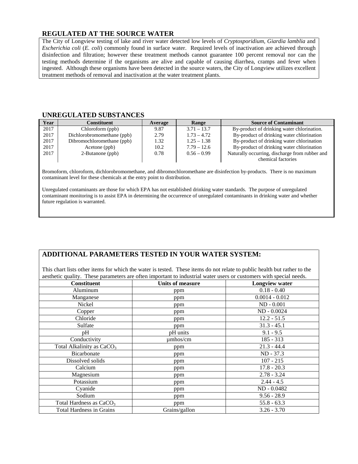## **REGULATED AT THE SOURCE WATER**

The City of Longview testing of lake and river water detected low levels of *Cryptosporidium*, *Giardia lamblia* and *Escherichia coli* (*E. coli*) commonly found in surface water. Required levels of inactivation are achieved through disinfection and filtration; however these treatment methods cannot guarantee 100 percent removal nor can the testing methods determine if the organisms are alive and capable of causing diarrhea, cramps and fever when ingested. Although these organisms have been detected in the source waters, the City of Longview utilizes excellent treatment methods of removal and inactivation at the water treatment plants.

#### **UNREGULATED SUBSTANCES**

| Year | Constituent                | Average | Range         | <b>Source of Contaminant</b>                   |
|------|----------------------------|---------|---------------|------------------------------------------------|
| 2017 | Chloroform (ppb)           | 9.87    | $3.71 - 13.7$ | By-product of drinking water chlorination.     |
| 2017 | Dichlorobromomethane (ppb) | 2.79    | $1.73 - 4.72$ | By-product of drinking water chlorination      |
| 2017 | Dibromochloromethane (ppb) | 1.32    | $1.25 - 1.38$ | By-product of drinking water chlorination      |
| 2017 | Acetone (ppb)              | 10.2    | $7.79 - 12.6$ | By-product of drinking water chlorination      |
| 2017 | 2-Butanone (ppb)           | 0.78    | $0.56 - 0.99$ | Naturally occurring, discharge from rubber and |
|      |                            |         |               | chemical factories                             |

Bromoform, chloroform, dichlorobromomethane, and dibromochloromethane are disinfection by-products. There is no maximum contaminant level for these chemicals at the entry point to distribution.

Unregulated contaminants are those for which EPA has not established drinking water standards. The purpose of unregulated contaminant monitoring is to assist EPA in determining the occurrence of unregulated contaminants in drinking water and whether future regulation is warranted.

# **ADDITIONAL PARAMETERS TESTED IN YOUR WATER SYSTEM:**

This chart lists other items for which the water is tested. These items do not relate to public health but rather to the aesthetic quality. These parameters are often important to industrial water users or customers with special needs.

| <b>Constituent</b>                    | <b>Units of measure</b> | <b>Longview water</b> |
|---------------------------------------|-------------------------|-----------------------|
| Aluminum                              | ppm                     | $0.18 - 0.40$         |
| Manganese                             | ppm                     | $0.0014 - 0.012$      |
| Nickel                                | ppm                     | $ND - 0.001$          |
| Copper                                | ppm                     | ND - 0.0024           |
| Chloride                              | ppm                     | $12.2 - 51.5$         |
| Sulfate                               | ppm                     | $31.3 - 45.1$         |
| pH                                    | pH units                | $9.1 - 9.5$           |
| Conductivity                          | $\mu$ mhos/cm           | $185 - 313$           |
| Total Alkalinity as CaCO <sub>3</sub> | ppm                     | $21.3 - 44.4$         |
| Bicarbonate                           | ppm                     | ND - 37.3             |
| Dissolved solids                      | ppm                     | $107 - 215$           |
| Calcium                               | ppm                     | $17.8 - 20.3$         |
| Magnesium                             | ppm                     | $2.78 - 3.24$         |
| Potassium                             | ppm                     | $2.44 - 4.5$          |
| Cyanide                               | ppm                     | ND - 0.0482           |
| Sodium                                | ppm                     | $9.56 - 28.9$         |
| Total Hardness as CaCO <sub>3</sub>   | ppm                     | $55.8 - 63.3$         |
| <b>Total Hardness in Grains</b>       | Grains/gallon           | $3.26 - 3.70$         |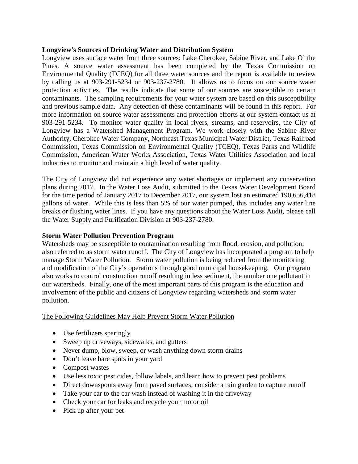## **Longview's Sources of Drinking Water and Distribution System**

Longview uses surface water from three sources: Lake Cherokee, Sabine River, and Lake O' the Pines. A source water assessment has been completed by the Texas Commission on Environmental Quality (TCEQ) for all three water sources and the report is available to review by calling us at 903-291-5234 or 903-237-2780. It allows us to focus on our source water protection activities. The results indicate that some of our sources are susceptible to certain contaminants. The sampling requirements for your water system are based on this susceptibility and previous sample data. Any detection of these contaminants will be found in this report. For more information on source water assessments and protection efforts at our system contact us at 903-291-5234. To monitor water quality in local rivers, streams, and reservoirs, the City of Longview has a Watershed Management Program. We work closely with the Sabine River Authority, Cherokee Water Company, Northeast Texas Municipal Water District, Texas Railroad Commission, Texas Commission on Environmental Quality (TCEQ), Texas Parks and Wildlife Commission, American Water Works Association, Texas Water Utilities Association and local industries to monitor and maintain a high level of water quality.

The City of Longview did not experience any water shortages or implement any conservation plans during 2017. In the Water Loss Audit, submitted to the Texas Water Development Board for the time period of January 2017 to December 2017, our system lost an estimated 190,656,418 gallons of water. While this is less than 5% of our water pumped, this includes any water line breaks or flushing water lines. If you have any questions about the Water Loss Audit, please call the Water Supply and Purification Division at 903-237-2780.

## **Storm Water Pollution Prevention Program**

Watersheds may be susceptible to contamination resulting from flood, erosion, and pollution; also referred to as storm water runoff. The City of Longview has incorporated a program to help manage Storm Water Pollution. Storm water pollution is being reduced from the monitoring and modification of the City's operations through good municipal housekeeping. Our program also works to control construction runoff resulting in less sediment, the number one pollutant in our watersheds. Finally, one of the most important parts of this program is the education and involvement of the public and citizens of Longview regarding watersheds and storm water pollution.

# The Following Guidelines May Help Prevent Storm Water Pollution

- Use fertilizers sparingly
- Sweep up driveways, sidewalks, and gutters
- Never dump, blow, sweep, or wash anything down storm drains
- Don't leave bare spots in your yard
- Compost wastes
- Use less toxic pesticides, follow labels, and learn how to prevent pest problems
- Direct downspouts away from paved surfaces; consider a rain garden to capture runoff
- Take your car to the car wash instead of washing it in the driveway
- Check your car for leaks and recycle your motor oil
- Pick up after your pet